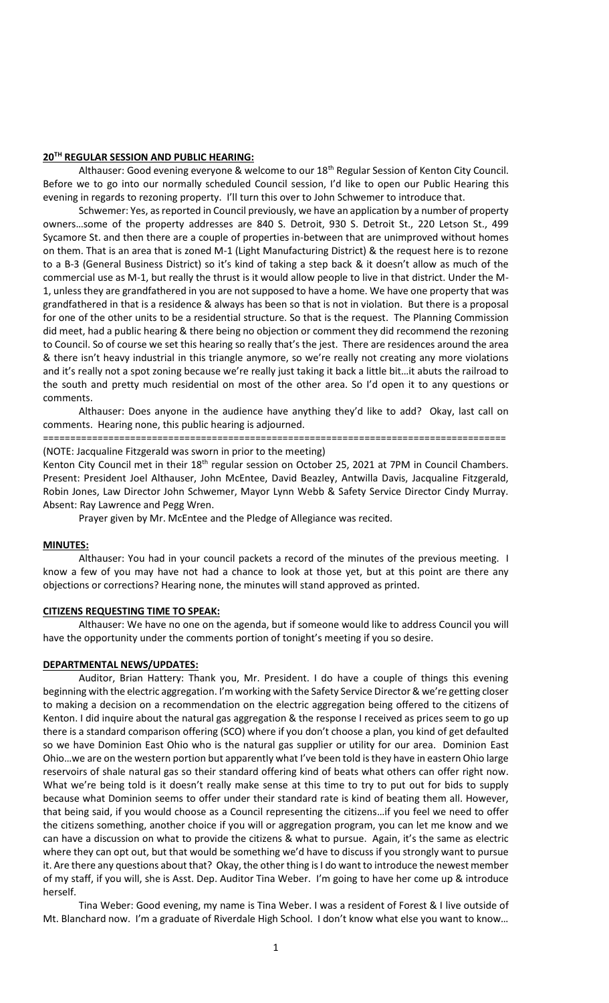## **20TH REGULAR SESSION AND PUBLIC HEARING:**

Althauser: Good evening everyone & welcome to our 18<sup>th</sup> Regular Session of Kenton City Council. Before we to go into our normally scheduled Council session, I'd like to open our Public Hearing this evening in regards to rezoning property. I'll turn this over to John Schwemer to introduce that.

Schwemer: Yes, as reported in Council previously, we have an application by a number of property owners…some of the property addresses are 840 S. Detroit, 930 S. Detroit St., 220 Letson St., 499 Sycamore St. and then there are a couple of properties in-between that are unimproved without homes on them. That is an area that is zoned M-1 (Light Manufacturing District) & the request here is to rezone to a B-3 (General Business District) so it's kind of taking a step back & it doesn't allow as much of the commercial use as M-1, but really the thrust is it would allow people to live in that district. Under the M-1, unless they are grandfathered in you are not supposed to have a home. We have one property that was grandfathered in that is a residence & always has been so that is not in violation. But there is a proposal for one of the other units to be a residential structure. So that is the request. The Planning Commission did meet, had a public hearing & there being no objection or comment they did recommend the rezoning to Council. So of course we set this hearing so really that's the jest. There are residences around the area & there isn't heavy industrial in this triangle anymore, so we're really not creating any more violations and it's really not a spot zoning because we're really just taking it back a little bit…it abuts the railroad to the south and pretty much residential on most of the other area. So I'd open it to any questions or comments.

Althauser: Does anyone in the audience have anything they'd like to add? Okay, last call on comments. Hearing none, this public hearing is adjourned.

#### =====================================================================================

#### (NOTE: Jacqualine Fitzgerald was sworn in prior to the meeting)

Kenton City Council met in their 18<sup>th</sup> regular session on October 25, 2021 at 7PM in Council Chambers. Present: President Joel Althauser, John McEntee, David Beazley, Antwilla Davis, Jacqualine Fitzgerald, Robin Jones, Law Director John Schwemer, Mayor Lynn Webb & Safety Service Director Cindy Murray. Absent: Ray Lawrence and Pegg Wren.

Prayer given by Mr. McEntee and the Pledge of Allegiance was recited.

#### **MINUTES:**

Althauser: You had in your council packets a record of the minutes of the previous meeting. I know a few of you may have not had a chance to look at those yet, but at this point are there any objections or corrections? Hearing none, the minutes will stand approved as printed.

#### **CITIZENS REQUESTING TIME TO SPEAK:**

Althauser: We have no one on the agenda, but if someone would like to address Council you will have the opportunity under the comments portion of tonight's meeting if you so desire.

## **DEPARTMENTAL NEWS/UPDATES:**

Auditor, Brian Hattery: Thank you, Mr. President. I do have a couple of things this evening beginning with the electric aggregation. I'm working with the Safety Service Director & we're getting closer to making a decision on a recommendation on the electric aggregation being offered to the citizens of Kenton. I did inquire about the natural gas aggregation & the response I received as prices seem to go up there is a standard comparison offering (SCO) where if you don't choose a plan, you kind of get defaulted so we have Dominion East Ohio who is the natural gas supplier or utility for our area. Dominion East Ohio…we are on the western portion but apparently what I've been told is they have in eastern Ohio large reservoirs of shale natural gas so their standard offering kind of beats what others can offer right now. What we're being told is it doesn't really make sense at this time to try to put out for bids to supply because what Dominion seems to offer under their standard rate is kind of beating them all. However, that being said, if you would choose as a Council representing the citizens…if you feel we need to offer the citizens something, another choice if you will or aggregation program, you can let me know and we can have a discussion on what to provide the citizens & what to pursue. Again, it's the same as electric where they can opt out, but that would be something we'd have to discuss if you strongly want to pursue it. Are there any questions about that? Okay, the other thing is I do want to introduce the newest member of my staff, if you will, she is Asst. Dep. Auditor Tina Weber. I'm going to have her come up & introduce herself.

Tina Weber: Good evening, my name is Tina Weber. I was a resident of Forest & I live outside of Mt. Blanchard now. I'm a graduate of Riverdale High School. I don't know what else you want to know…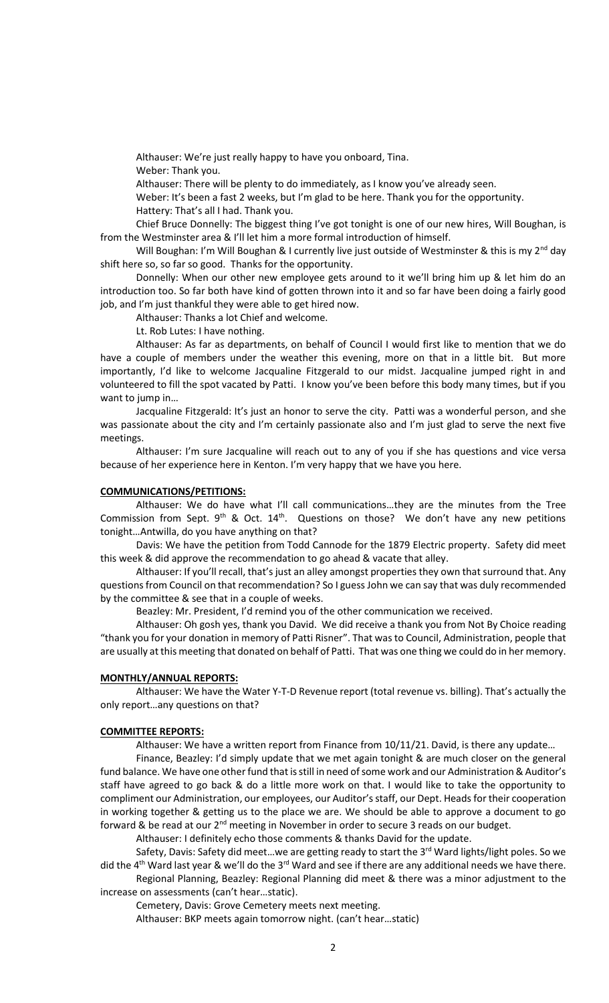Althauser: We're just really happy to have you onboard, Tina.

Weber: Thank you.

Althauser: There will be plenty to do immediately, as I know you've already seen.

Weber: It's been a fast 2 weeks, but I'm glad to be here. Thank you for the opportunity.

Hattery: That's all I had. Thank you.

Chief Bruce Donnelly: The biggest thing I've got tonight is one of our new hires, Will Boughan, is from the Westminster area & I'll let him a more formal introduction of himself.

Will Boughan: I'm Will Boughan & I currently live just outside of Westminster & this is my  $2^{nd}$  day shift here so, so far so good. Thanks for the opportunity.

Donnelly: When our other new employee gets around to it we'll bring him up & let him do an introduction too. So far both have kind of gotten thrown into it and so far have been doing a fairly good job, and I'm just thankful they were able to get hired now.

Althauser: Thanks a lot Chief and welcome.

Lt. Rob Lutes: I have nothing.

Althauser: As far as departments, on behalf of Council I would first like to mention that we do have a couple of members under the weather this evening, more on that in a little bit. But more importantly, I'd like to welcome Jacqualine Fitzgerald to our midst. Jacqualine jumped right in and volunteered to fill the spot vacated by Patti. I know you've been before this body many times, but if you want to jump in…

Jacqualine Fitzgerald: It's just an honor to serve the city. Patti was a wonderful person, and she was passionate about the city and I'm certainly passionate also and I'm just glad to serve the next five meetings.

Althauser: I'm sure Jacqualine will reach out to any of you if she has questions and vice versa because of her experience here in Kenton. I'm very happy that we have you here.

# **COMMUNICATIONS/PETITIONS:**

Althauser: We do have what I'll call communications…they are the minutes from the Tree Commission from Sept.  $9<sup>th</sup>$  & Oct.  $14<sup>th</sup>$ . Questions on those? We don't have any new petitions tonight…Antwilla, do you have anything on that?

Davis: We have the petition from Todd Cannode for the 1879 Electric property. Safety did meet this week & did approve the recommendation to go ahead & vacate that alley.

Althauser: If you'll recall, that's just an alley amongst properties they own that surround that. Any questions from Council on that recommendation? So I guess John we can say that was duly recommended by the committee & see that in a couple of weeks.

Beazley: Mr. President, I'd remind you of the other communication we received.

Althauser: Oh gosh yes, thank you David. We did receive a thank you from Not By Choice reading "thank you for your donation in memory of Patti Risner". That was to Council, Administration, people that are usually at this meeting that donated on behalf of Patti. That was one thing we could do in her memory.

## **MONTHLY/ANNUAL REPORTS:**

Althauser: We have the Water Y-T-D Revenue report (total revenue vs. billing). That's actually the only report…any questions on that?

# **COMMITTEE REPORTS:**

Althauser: We have a written report from Finance from 10/11/21. David, is there any update…

Finance, Beazley: I'd simply update that we met again tonight & are much closer on the general fund balance. We have one other fund that is still in need of some work and our Administration & Auditor's staff have agreed to go back & do a little more work on that. I would like to take the opportunity to compliment our Administration, our employees, our Auditor's staff, our Dept. Heads for their cooperation in working together & getting us to the place we are. We should be able to approve a document to go forward & be read at our 2<sup>nd</sup> meeting in November in order to secure 3 reads on our budget.

Althauser: I definitely echo those comments & thanks David for the update.

Safety, Davis: Safety did meet...we are getting ready to start the 3<sup>rd</sup> Ward lights/light poles. So we did the 4<sup>th</sup> Ward last year & we'll do the 3<sup>rd</sup> Ward and see if there are any additional needs we have there. Regional Planning, Beazley: Regional Planning did meet & there was a minor adjustment to the

increase on assessments (can't hear…static).

Cemetery, Davis: Grove Cemetery meets next meeting.

Althauser: BKP meets again tomorrow night. (can't hear…static)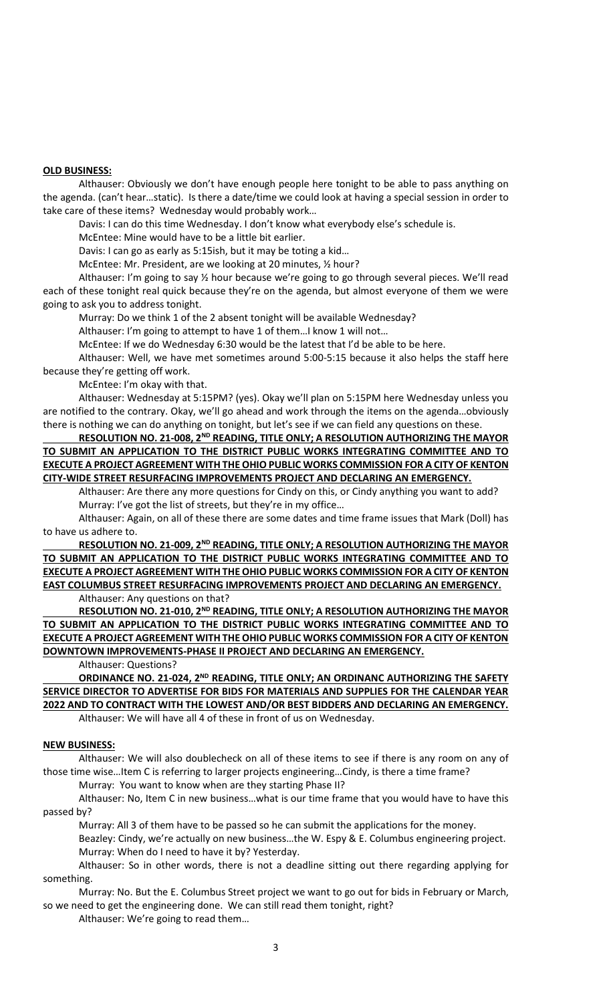# **OLD BUSINESS:**

Althauser: Obviously we don't have enough people here tonight to be able to pass anything on the agenda. (can't hear…static). Is there a date/time we could look at having a special session in order to take care of these items? Wednesday would probably work…

Davis: I can do this time Wednesday. I don't know what everybody else's schedule is.

McEntee: Mine would have to be a little bit earlier.

Davis: I can go as early as 5:15ish, but it may be toting a kid…

McEntee: Mr. President, are we looking at 20 minutes, ½ hour?

Althauser: I'm going to say 1/2 hour because we're going to go through several pieces. We'll read each of these tonight real quick because they're on the agenda, but almost everyone of them we were going to ask you to address tonight.

Murray: Do we think 1 of the 2 absent tonight will be available Wednesday?

Althauser: I'm going to attempt to have 1 of them…I know 1 will not…

McEntee: If we do Wednesday 6:30 would be the latest that I'd be able to be here.

Althauser: Well, we have met sometimes around 5:00-5:15 because it also helps the staff here because they're getting off work.

McEntee: I'm okay with that.

Althauser: Wednesday at 5:15PM? (yes). Okay we'll plan on 5:15PM here Wednesday unless you are notified to the contrary. Okay, we'll go ahead and work through the items on the agenda…obviously there is nothing we can do anything on tonight, but let's see if we can field any questions on these.

**RESOLUTION NO. 21-008, 2ND READING, TITLE ONLY; A RESOLUTION AUTHORIZING THE MAYOR TO SUBMIT AN APPLICATION TO THE DISTRICT PUBLIC WORKS INTEGRATING COMMITTEE AND TO EXECUTE A PROJECT AGREEMENT WITH THE OHIO PUBLIC WORKS COMMISSION FOR A CITY OF KENTON CITY-WIDE STREET RESURFACING IMPROVEMENTS PROJECT AND DECLARING AN EMERGENCY.** 

Althauser: Are there any more questions for Cindy on this, or Cindy anything you want to add? Murray: I've got the list of streets, but they're in my office…

Althauser: Again, on all of these there are some dates and time frame issues that Mark (Doll) has to have us adhere to.

**RESOLUTION NO. 21-009, 2ND READING, TITLE ONLY; A RESOLUTION AUTHORIZING THE MAYOR TO SUBMIT AN APPLICATION TO THE DISTRICT PUBLIC WORKS INTEGRATING COMMITTEE AND TO EXECUTE A PROJECT AGREEMENT WITH THE OHIO PUBLIC WORKS COMMISSION FOR A CITY OF KENTON EAST COLUMBUS STREET RESURFACING IMPROVEMENTS PROJECT AND DECLARING AN EMERGENCY.** Althauser: Any questions on that?

**RESOLUTION NO. 21-010, 2ND READING, TITLE ONLY; A RESOLUTION AUTHORIZING THE MAYOR TO SUBMIT AN APPLICATION TO THE DISTRICT PUBLIC WORKS INTEGRATING COMMITTEE AND TO EXECUTE A PROJECT AGREEMENT WITH THE OHIO PUBLIC WORKS COMMISSION FOR A CITY OF KENTON DOWNTOWN IMPROVEMENTS-PHASE II PROJECT AND DECLARING AN EMERGENCY.**

Althauser: Questions?

**ORDINANCE NO. 21-024, 2ND READING, TITLE ONLY; AN ORDINANC AUTHORIZING THE SAFETY SERVICE DIRECTOR TO ADVERTISE FOR BIDS FOR MATERIALS AND SUPPLIES FOR THE CALENDAR YEAR 2022 AND TO CONTRACT WITH THE LOWEST AND/OR BEST BIDDERS AND DECLARING AN EMERGENCY.** Althauser: We will have all 4 of these in front of us on Wednesday.

## **NEW BUSINESS:**

Althauser: We will also doublecheck on all of these items to see if there is any room on any of those time wise…Item C is referring to larger projects engineering…Cindy, is there a time frame?

Murray: You want to know when are they starting Phase II?

Althauser: No, Item C in new business…what is our time frame that you would have to have this passed by?

Murray: All 3 of them have to be passed so he can submit the applications for the money. Beazley: Cindy, we're actually on new business…the W. Espy & E. Columbus engineering project.

Murray: When do I need to have it by? Yesterday.

Althauser: So in other words, there is not a deadline sitting out there regarding applying for something.

Murray: No. But the E. Columbus Street project we want to go out for bids in February or March, so we need to get the engineering done. We can still read them tonight, right?

Althauser: We're going to read them…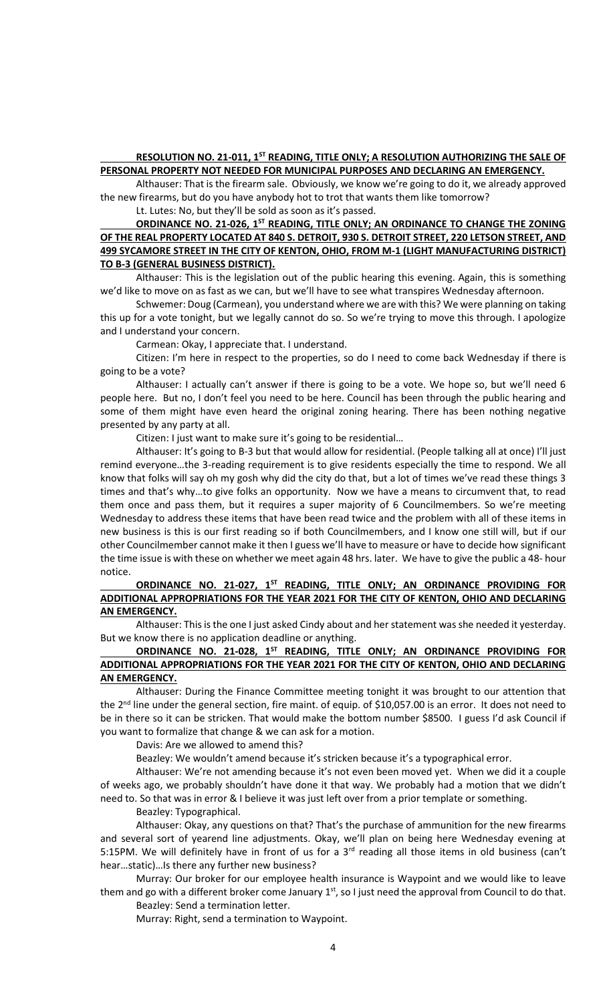# **RESOLUTION NO. 21-011, 1<sup>ST</sup> READING, TITLE ONLY; A RESOLUTION AUTHORIZING THE SALE OF PERSONAL PROPERTY NOT NEEDED FOR MUNICIPAL PURPOSES AND DECLARING AN EMERGENCY.**

Althauser: That is the firearm sale. Obviously, we know we're going to do it, we already approved the new firearms, but do you have anybody hot to trot that wants them like tomorrow?

Lt. Lutes: No, but they'll be sold as soon as it's passed.

# **ORDINANCE NO. 21-026, 1ST READING, TITLE ONLY; AN ORDINANCE TO CHANGE THE ZONING OF THE REAL PROPERTY LOCATED AT 840 S. DETROIT, 930 S. DETROIT STREET, 220 LETSON STREET, AND 499 SYCAMORE STREET IN THE CITY OF KENTON, OHIO, FROM M-1 (LIGHT MANUFACTURING DISTRICT) TO B-3 (GENERAL BUSINESS DISTRICT).**

Althauser: This is the legislation out of the public hearing this evening. Again, this is something we'd like to move on as fast as we can, but we'll have to see what transpires Wednesday afternoon.

Schwemer: Doug (Carmean), you understand where we are with this? We were planning on taking this up for a vote tonight, but we legally cannot do so. So we're trying to move this through. I apologize and I understand your concern.

Carmean: Okay, I appreciate that. I understand.

Citizen: I'm here in respect to the properties, so do I need to come back Wednesday if there is going to be a vote?

Althauser: I actually can't answer if there is going to be a vote. We hope so, but we'll need 6 people here. But no, I don't feel you need to be here. Council has been through the public hearing and some of them might have even heard the original zoning hearing. There has been nothing negative presented by any party at all.

Citizen: I just want to make sure it's going to be residential…

Althauser: It's going to B-3 but that would allow for residential. (People talking all at once) I'll just remind everyone…the 3-reading requirement is to give residents especially the time to respond. We all know that folks will say oh my gosh why did the city do that, but a lot of times we've read these things 3 times and that's why…to give folks an opportunity. Now we have a means to circumvent that, to read them once and pass them, but it requires a super majority of 6 Councilmembers. So we're meeting Wednesday to address these items that have been read twice and the problem with all of these items in new business is this is our first reading so if both Councilmembers, and I know one still will, but if our other Councilmember cannot make it then I guess we'll have to measure or have to decide how significant the time issue is with these on whether we meet again 48 hrs. later. We have to give the public a 48- hour notice.

# **ORDINANCE NO. 21-027, 1ST READING, TITLE ONLY; AN ORDINANCE PROVIDING FOR ADDITIONAL APPROPRIATIONS FOR THE YEAR 2021 FOR THE CITY OF KENTON, OHIO AND DECLARING AN EMERGENCY.**

Althauser: This is the one I just asked Cindy about and her statement was she needed it yesterday. But we know there is no application deadline or anything.

# **ORDINANCE NO. 21-028, 1ST READING, TITLE ONLY; AN ORDINANCE PROVIDING FOR ADDITIONAL APPROPRIATIONS FOR THE YEAR 2021 FOR THE CITY OF KENTON, OHIO AND DECLARING AN EMERGENCY.**

Althauser: During the Finance Committee meeting tonight it was brought to our attention that the 2<sup>nd</sup> line under the general section, fire maint. of equip. of \$10,057.00 is an error. It does not need to be in there so it can be stricken. That would make the bottom number \$8500. I guess I'd ask Council if you want to formalize that change & we can ask for a motion.

Davis: Are we allowed to amend this?

Beazley: We wouldn't amend because it's stricken because it's a typographical error.

Althauser: We're not amending because it's not even been moved yet. When we did it a couple of weeks ago, we probably shouldn't have done it that way. We probably had a motion that we didn't need to. So that was in error & I believe it was just left over from a prior template or something.

Beazley: Typographical.

Althauser: Okay, any questions on that? That's the purchase of ammunition for the new firearms and several sort of yearend line adjustments. Okay, we'll plan on being here Wednesday evening at 5:15PM. We will definitely have in front of us for a 3<sup>rd</sup> reading all those items in old business (can't hear…static)…Is there any further new business?

Murray: Our broker for our employee health insurance is Waypoint and we would like to leave them and go with a different broker come January 1<sup>st</sup>, so I just need the approval from Council to do that. Beazley: Send a termination letter.

Murray: Right, send a termination to Waypoint.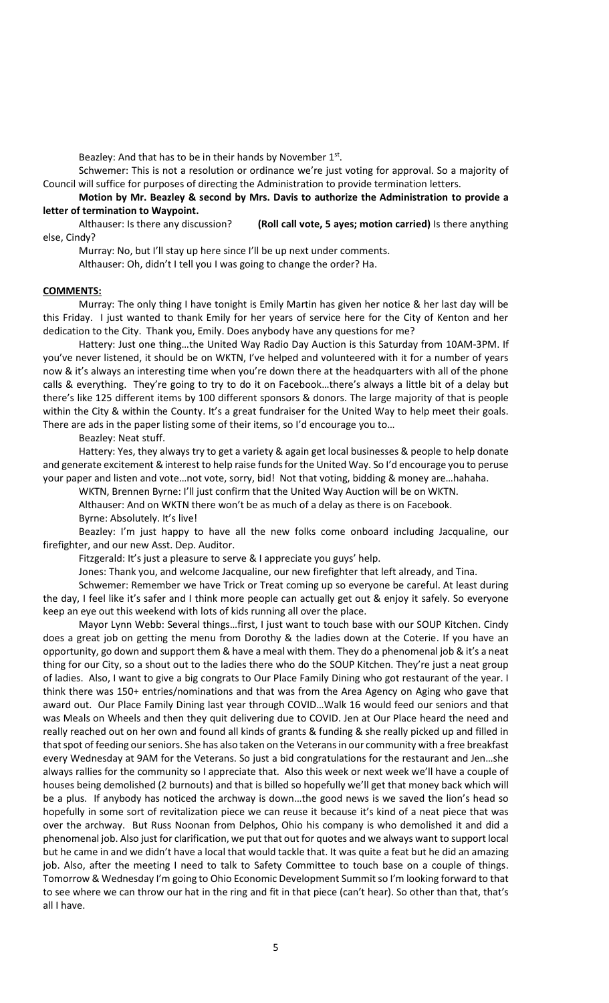Beazley: And that has to be in their hands by November 1st.

Schwemer: This is not a resolution or ordinance we're just voting for approval. So a majority of Council will suffice for purposes of directing the Administration to provide termination letters.

**Motion by Mr. Beazley & second by Mrs. Davis to authorize the Administration to provide a letter of termination to Waypoint.** 

Althauser: Is there any discussion? **(Roll call vote, 5 ayes; motion carried)** Is there anything else, Cindy?

Murray: No, but I'll stay up here since I'll be up next under comments.

Althauser: Oh, didn't I tell you I was going to change the order? Ha.

## **COMMENTS:**

Murray: The only thing I have tonight is Emily Martin has given her notice & her last day will be this Friday. I just wanted to thank Emily for her years of service here for the City of Kenton and her dedication to the City. Thank you, Emily. Does anybody have any questions for me?

Hattery: Just one thing…the United Way Radio Day Auction is this Saturday from 10AM-3PM. If you've never listened, it should be on WKTN, I've helped and volunteered with it for a number of years now & it's always an interesting time when you're down there at the headquarters with all of the phone calls & everything. They're going to try to do it on Facebook…there's always a little bit of a delay but there's like 125 different items by 100 different sponsors & donors. The large majority of that is people within the City & within the County. It's a great fundraiser for the United Way to help meet their goals. There are ads in the paper listing some of their items, so I'd encourage you to…

## Beazley: Neat stuff.

Hattery: Yes, they always try to get a variety & again get local businesses & people to help donate and generate excitement & interest to help raise funds for the United Way. So I'd encourage you to peruse your paper and listen and vote…not vote, sorry, bid! Not that voting, bidding & money are…hahaha.

WKTN, Brennen Byrne: I'll just confirm that the United Way Auction will be on WKTN.

Althauser: And on WKTN there won't be as much of a delay as there is on Facebook.

Byrne: Absolutely. It's live!

Beazley: I'm just happy to have all the new folks come onboard including Jacqualine, our firefighter, and our new Asst. Dep. Auditor.

Fitzgerald: It's just a pleasure to serve & I appreciate you guys' help.

Jones: Thank you, and welcome Jacqualine, our new firefighter that left already, and Tina.

Schwemer: Remember we have Trick or Treat coming up so everyone be careful. At least during the day, I feel like it's safer and I think more people can actually get out & enjoy it safely. So everyone keep an eye out this weekend with lots of kids running all over the place.

Mayor Lynn Webb: Several things…first, I just want to touch base with our SOUP Kitchen. Cindy does a great job on getting the menu from Dorothy & the ladies down at the Coterie. If you have an opportunity, go down and support them & have a meal with them. They do a phenomenal job & it's a neat thing for our City, so a shout out to the ladies there who do the SOUP Kitchen. They're just a neat group of ladies. Also, I want to give a big congrats to Our Place Family Dining who got restaurant of the year. I think there was 150+ entries/nominations and that was from the Area Agency on Aging who gave that award out. Our Place Family Dining last year through COVID…Walk 16 would feed our seniors and that was Meals on Wheels and then they quit delivering due to COVID. Jen at Our Place heard the need and really reached out on her own and found all kinds of grants & funding & she really picked up and filled in that spot of feeding our seniors. She has also taken on the Veterans in our community with a free breakfast every Wednesday at 9AM for the Veterans. So just a bid congratulations for the restaurant and Jen…she always rallies for the community so I appreciate that. Also this week or next week we'll have a couple of houses being demolished (2 burnouts) and that is billed so hopefully we'll get that money back which will be a plus. If anybody has noticed the archway is down…the good news is we saved the lion's head so hopefully in some sort of revitalization piece we can reuse it because it's kind of a neat piece that was over the archway. But Russ Noonan from Delphos, Ohio his company is who demolished it and did a phenomenal job. Also just for clarification, we put that out for quotes and we always want to support local but he came in and we didn't have a local that would tackle that. It was quite a feat but he did an amazing job. Also, after the meeting I need to talk to Safety Committee to touch base on a couple of things. Tomorrow & Wednesday I'm going to Ohio Economic Development Summit so I'm looking forward to that to see where we can throw our hat in the ring and fit in that piece (can't hear). So other than that, that's all I have.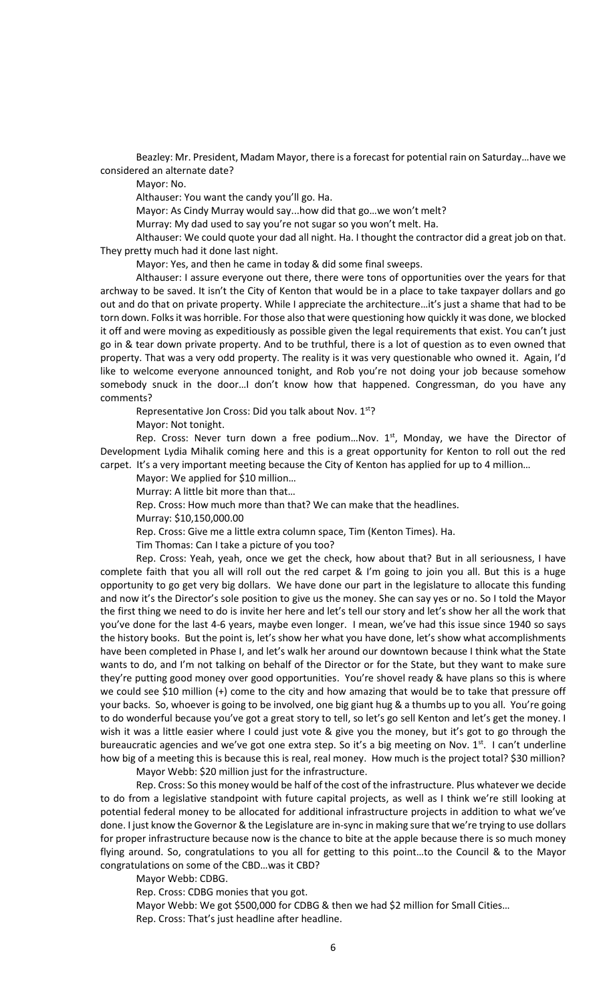Beazley: Mr. President, Madam Mayor, there is a forecast for potential rain on Saturday…have we considered an alternate date?

Mayor: No.

Althauser: You want the candy you'll go. Ha.

Mayor: As Cindy Murray would say...how did that go…we won't melt?

Murray: My dad used to say you're not sugar so you won't melt. Ha.

Althauser: We could quote your dad all night. Ha. I thought the contractor did a great job on that. They pretty much had it done last night.

Mayor: Yes, and then he came in today & did some final sweeps.

Althauser: I assure everyone out there, there were tons of opportunities over the years for that archway to be saved. It isn't the City of Kenton that would be in a place to take taxpayer dollars and go out and do that on private property. While I appreciate the architecture…it's just a shame that had to be torn down. Folks it was horrible. For those also that were questioning how quickly it was done, we blocked it off and were moving as expeditiously as possible given the legal requirements that exist. You can't just go in & tear down private property. And to be truthful, there is a lot of question as to even owned that property. That was a very odd property. The reality is it was very questionable who owned it. Again, I'd like to welcome everyone announced tonight, and Rob you're not doing your job because somehow somebody snuck in the door…I don't know how that happened. Congressman, do you have any comments?

Representative Jon Cross: Did you talk about Nov. 1st?

Mayor: Not tonight.

Rep. Cross: Never turn down a free podium... Nov.  $1<sup>st</sup>$ , Monday, we have the Director of Development Lydia Mihalik coming here and this is a great opportunity for Kenton to roll out the red carpet. It's a very important meeting because the City of Kenton has applied for up to 4 million...

Mayor: We applied for \$10 million…

Murray: A little bit more than that…

Rep. Cross: How much more than that? We can make that the headlines.

Murray: \$10,150,000.00

Rep. Cross: Give me a little extra column space, Tim (Kenton Times). Ha.

Tim Thomas: Can I take a picture of you too?

Rep. Cross: Yeah, yeah, once we get the check, how about that? But in all seriousness, I have complete faith that you all will roll out the red carpet & I'm going to join you all. But this is a huge opportunity to go get very big dollars. We have done our part in the legislature to allocate this funding and now it's the Director's sole position to give us the money. She can say yes or no. So I told the Mayor the first thing we need to do is invite her here and let's tell our story and let's show her all the work that you've done for the last 4-6 years, maybe even longer. I mean, we've had this issue since 1940 so says the history books. But the point is, let's show her what you have done, let's show what accomplishments have been completed in Phase I, and let's walk her around our downtown because I think what the State wants to do, and I'm not talking on behalf of the Director or for the State, but they want to make sure they're putting good money over good opportunities. You're shovel ready & have plans so this is where we could see \$10 million (+) come to the city and how amazing that would be to take that pressure off your backs. So, whoever is going to be involved, one big giant hug & a thumbs up to you all. You're going to do wonderful because you've got a great story to tell, so let's go sell Kenton and let's get the money. I wish it was a little easier where I could just vote & give you the money, but it's got to go through the bureaucratic agencies and we've got one extra step. So it's a big meeting on Nov.  $1<sup>st</sup>$ . I can't underline how big of a meeting this is because this is real, real money. How much is the project total? \$30 million?

Mayor Webb: \$20 million just for the infrastructure.

Rep. Cross: So this money would be half of the cost of the infrastructure. Plus whatever we decide to do from a legislative standpoint with future capital projects, as well as I think we're still looking at potential federal money to be allocated for additional infrastructure projects in addition to what we've done. I just know the Governor & the Legislature are in-sync in making sure that we're trying to use dollars for proper infrastructure because now is the chance to bite at the apple because there is so much money flying around. So, congratulations to you all for getting to this point…to the Council & to the Mayor congratulations on some of the CBD…was it CBD?

Mayor Webb: CDBG.

Rep. Cross: CDBG monies that you got.

Mayor Webb: We got \$500,000 for CDBG & then we had \$2 million for Small Cities… Rep. Cross: That's just headline after headline.